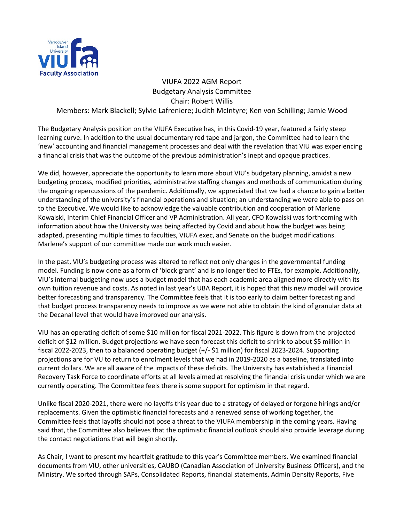

## VIUFA 2022 AGM Report Budgetary Analysis Committee Chair: Robert Willis Members: Mark Blackell; Sylvie Lafreniere; Judith McIntyre; Ken von Schilling; Jamie Wood

The Budgetary Analysis position on the VIUFA Executive has, in this Covid-19 year, featured a fairly steep learning curve. In addition to the usual documentary red tape and jargon, the Committee had to learn the 'new' accounting and financial management processes and deal with the revelation that VIU was experiencing a financial crisis that was the outcome of the previous administration's inept and opaque practices.

We did, however, appreciate the opportunity to learn more about VIU's budgetary planning, amidst a new budgeting process, modified priorities, administrative staffing changes and methods of communication during the ongoing repercussions of the pandemic. Additionally, we appreciated that we had a chance to gain a better understanding of the university's financial operations and situation; an understanding we were able to pass on to the Executive. We would like to acknowledge the valuable contribution and cooperation of Marlene Kowalski, Interim Chief Financial Officer and VP Administration. All year, CFO Kowalski was forthcoming with information about how the University was being affected by Covid and about how the budget was being adapted, presenting multiple times to faculties, VIUFA exec, and Senate on the budget modifications. Marlene's support of our committee made our work much easier.

In the past, VIU's budgeting process was altered to reflect not only changes in the governmental funding model. Funding is now done as a form of 'block grant' and is no longer tied to FTEs, for example. Additionally, VIU's internal budgeting now uses a budget model that has each academic area aligned more directly with its own tuition revenue and costs. As noted in last year's UBA Report, it is hoped that this new model will provide better forecasting and transparency. The Committee feels that it is too early to claim better forecasting and that budget process transparency needs to improve as we were not able to obtain the kind of granular data at the Decanal level that would have improved our analysis.

VIU has an operating deficit of some \$10 million for fiscal 2021-2022. This figure is down from the projected deficit of \$12 million. Budget projections we have seen forecast this deficit to shrink to about \$5 million in fiscal 2022-2023, then to a balanced operating budget (+/- \$1 million) for fiscal 2023-2024. Supporting projections are for VU to return to enrolment levels that we had in 2019-2020 as a baseline, translated into current dollars. We are all aware of the impacts of these deficits. The University has established a Financial Recovery Task Force to coordinate efforts at all levels aimed at resolving the financial crisis under which we are currently operating. The Committee feels there is some support for optimism in that regard.

Unlike fiscal 2020-2021, there were no layoffs this year due to a strategy of delayed or forgone hirings and/or replacements. Given the optimistic financial forecasts and a renewed sense of working together, the Committee feels that layoffs should not pose a threat to the VIUFA membership in the coming years. Having said that, the Committee also believes that the optimistic financial outlook should also provide leverage during the contact negotiations that will begin shortly.

As Chair, I want to present my heartfelt gratitude to this year's Committee members. We examined financial documents from VIU, other universities, CAUBO (Canadian Association of University Business Officers), and the Ministry. We sorted through SAPs, Consolidated Reports, financial statements, Admin Density Reports, Five